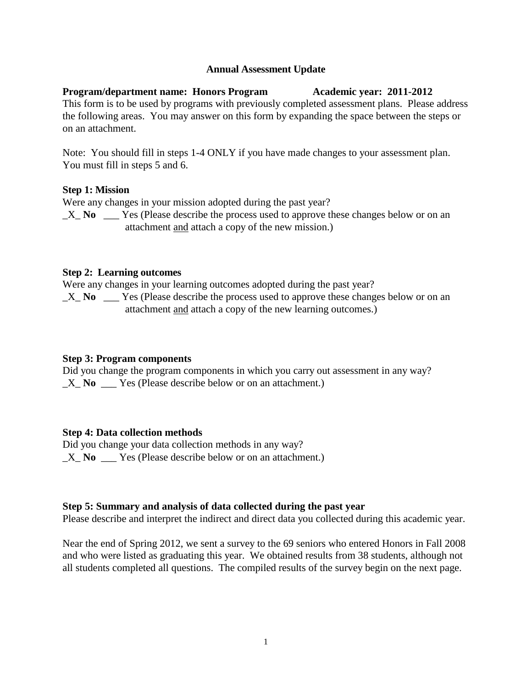## **Annual Assessment Update**

### **Program/department name: Honors Program Academic year: 2011-2012** This form is to be used by programs with previously completed assessment plans. Please address the following areas. You may answer on this form by expanding the space between the steps or on an attachment.

Note: You should fill in steps 1-4 ONLY if you have made changes to your assessment plan. You must fill in steps 5 and 6.

# **Step 1: Mission**

Were any changes in your mission adopted during the past year?

 $X$  **No**  $\_\_\_\$  Yes (Please describe the process used to approve these changes below or on an attachment and attach a copy of the new mission.)

# **Step 2: Learning outcomes**

Were any changes in your learning outcomes adopted during the past year?

X No Yes (Please describe the process used to approve these changes below or on an attachment and attach a copy of the new learning outcomes.)

### **Step 3: Program components**

Did you change the program components in which you carry out assessment in any way? X **No** Yes (Please describe below or on an attachment.)

# **Step 4: Data collection methods**

Did you change your data collection methods in any way? X **No** Yes (Please describe below or on an attachment.)

# **Step 5: Summary and analysis of data collected during the past year**

Please describe and interpret the indirect and direct data you collected during this academic year.

Near the end of Spring 2012, we sent a survey to the 69 seniors who entered Honors in Fall 2008 and who were listed as graduating this year. We obtained results from 38 students, although not all students completed all questions. The compiled results of the survey begin on the next page.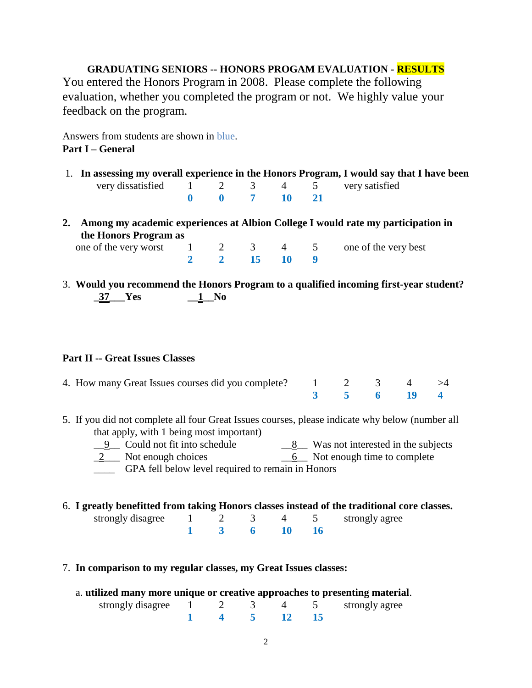**GRADUATING SENIORS -- HONORS PROGAM EVALUATION - RESULTS** You entered the Honors Program in 2008. Please complete the following evaluation, whether you completed the program or not. We highly value your feedback on the program.

Answers from students are shown in blue. **Part I – General**

- 1. **In assessing my overall experience in the Honors Program, I would say that I have been** very dissatisfied 1 2 3 4 5 very satisfied **0 0 7 10 21**
- **2. Among my academic experiences at Albion College I would rate my participation in the Honors Program as**

| one of the very worst 1 2 3 4 5 one of the very best |  |             |  |  |
|------------------------------------------------------|--|-------------|--|--|
|                                                      |  | 2 2 15 10 9 |  |  |

3. **Would you recommend the Honors Program to a qualified incoming first-year student? \_37\_\_\_Yes \_\_1\_\_No**

### **Part II -- Great Issues Classes**

| 4. How many Great Issues courses did you complete? $1 \t 2 \t 3 \t 4 \t > 4$ |  |            |  |
|------------------------------------------------------------------------------|--|------------|--|
|                                                                              |  | 3 5 6 19 4 |  |

- 5. If you did not complete all four Great Issues courses, please indicate why below (number all that apply, with 1 being most important)
	- $\frac{9}{2}$  Could not fit into schedule  $\frac{8}{2}$  Was not interested in the subjects
	- \_2\_\_\_ Not enough choices \_\_6\_\_ Not enough time to complete

\_\_\_\_ GPA fell below level required to remain in Honors

6. **I greatly benefitted from taking Honors classes instead of the traditional core classes.**

| strongly disagree |  |  | strongly agree |
|-------------------|--|--|----------------|
|                   |  |  |                |

7. **In comparison to my regular classes, my Great Issues classes:**

| a. utilized many more unique or creative approaches to presenting material. |  |  |                    |
|-----------------------------------------------------------------------------|--|--|--------------------|
| strongly disagree $1 \t 2 \t 3$                                             |  |  | 4 5 strongly agree |
|                                                                             |  |  |                    |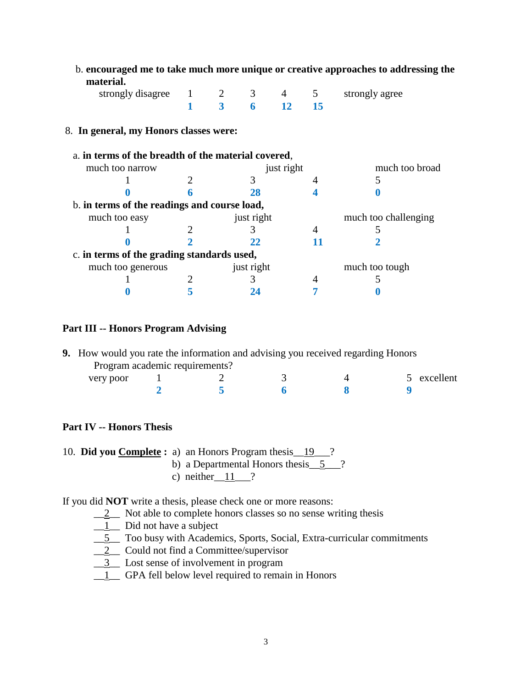| $1 \quad 2 \quad 3$<br>strongly disagree<br>5 <sup>5</sup><br>4 | strongly agree       |
|-----------------------------------------------------------------|----------------------|
| 3<br><b>12</b><br>15<br>6                                       |                      |
| 8. In general, my Honors classes were:                          |                      |
| a. in terms of the breadth of the material covered,             |                      |
| much too narrow<br>just right                                   | much too broad       |
| 3                                                               | 5                    |
| 28                                                              |                      |
| b. in terms of the readings and course load,                    |                      |
| just right<br>much too easy                                     | much too challenging |
|                                                                 |                      |
| 22                                                              |                      |
| c. in terms of the grading standards used,                      |                      |
| just right<br>much too generous                                 | much too tough       |
| 3                                                               |                      |
|                                                                 |                      |

b. **encouraged me to take much more unique or creative approaches to addressing the** 

#### **Part III -- Honors Program Advising**

| <b>9.</b> How would you rate the information and advising you received regarding Honors |  |  |             |
|-----------------------------------------------------------------------------------------|--|--|-------------|
| Program academic requirements?                                                          |  |  |             |
| very poor                                                                               |  |  | 5 excellent |
|                                                                                         |  |  |             |

# **Part IV -- Honors Thesis**

 **material.**

|  | 10. Did you Complete: a) an Honors Program thesis 19 ? |  |
|--|--------------------------------------------------------|--|
|  | b) a Doportmontal Honora thosis 5                      |  |

- b) a Departmental Honors thesis $\underline{5}$
- c) neither  $11 \t$ ?

If you did **NOT** write a thesis, please check one or more reasons:

 $\frac{2}{2}$  Not able to complete honors classes so no sense writing thesis

- $\boxed{1}$  Did not have a subject
- \_\_5\_\_ Too busy with Academics, Sports, Social, Extra-curricular commitments
- \_\_2\_\_ Could not find a Committee/supervisor
- \_\_3\_\_ Lost sense of involvement in program
- \_\_1\_\_ GPA fell below level required to remain in Honors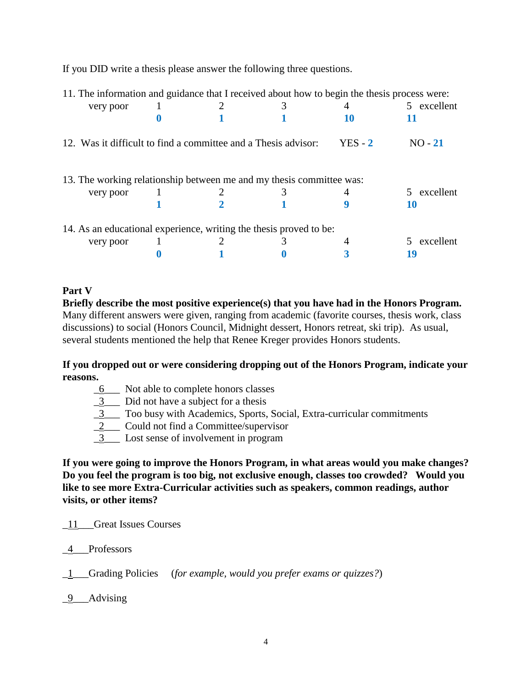If you DID write a thesis please answer the following three questions.

| 11. The information and guidance that I received about how to begin the thesis process were: |  |           |             |
|----------------------------------------------------------------------------------------------|--|-----------|-------------|
| very poor                                                                                    |  |           | 5 excellent |
|                                                                                              |  | 10        |             |
| 12. Was it difficult to find a committee and a Thesis advisor:                               |  | $YES - 2$ | $NO - 21$   |
| 13. The working relationship between me and my thesis committee was:                         |  |           |             |
| very poor                                                                                    |  |           | excellent   |
|                                                                                              |  |           | 10          |
| 14. As an educational experience, writing the thesis proved to be:                           |  |           |             |
| very poor                                                                                    |  |           | excellent   |
|                                                                                              |  |           | 19          |

### **Part V**

**Briefly describe the most positive experience(s) that you have had in the Honors Program.** Many different answers were given, ranging from academic (favorite courses, thesis work, class discussions) to social (Honors Council, Midnight dessert, Honors retreat, ski trip). As usual, several students mentioned the help that Renee Kreger provides Honors students.

### **If you dropped out or were considering dropping out of the Honors Program, indicate your reasons.**

- \_6\_\_\_ Not able to complete honors classes
- $\frac{3}{2}$  Did not have a subject for a thesis
- \_3\_\_\_ Too busy with Academics, Sports, Social, Extra-curricular commitments
- 2\_\_\_ Could not find a Committee/supervisor
- \_3\_\_\_ Lost sense of involvement in program

**If you were going to improve the Honors Program, in what areas would you make changes? Do you feel the program is too big, not exclusive enough, classes too crowded? Would you like to see more Extra-Curricular activities such as speakers, common readings, author visits, or other items?**

\_11\_\_\_Great Issues Courses

\_4\_\_\_Professors

\_1\_\_\_Grading Policies (*for example, would you prefer exams or quizzes?*)

9 Advising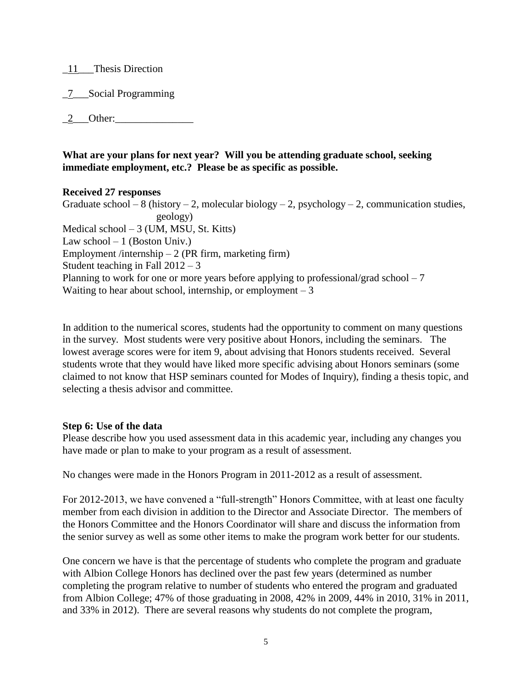- \_11\_\_\_Thesis Direction
- \_7\_\_\_Social Programming
- $2$  Other:

## **What are your plans for next year? Will you be attending graduate school, seeking immediate employment, etc.? Please be as specific as possible.**

### **Received 27 responses**

Graduate school – 8 (history – 2, molecular biology – 2, psychology – 2, communication studies, geology) Medical school – 3 (UM, MSU, St. Kitts) Law school  $-1$  (Boston Univ.) Employment /internship  $-2$  (PR firm, marketing firm) Student teaching in Fall  $2012 - 3$ Planning to work for one or more years before applying to professional/grad school  $-7$ Waiting to hear about school, internship, or employment  $-3$ 

In addition to the numerical scores, students had the opportunity to comment on many questions in the survey. Most students were very positive about Honors, including the seminars. The lowest average scores were for item 9, about advising that Honors students received. Several students wrote that they would have liked more specific advising about Honors seminars (some claimed to not know that HSP seminars counted for Modes of Inquiry), finding a thesis topic, and selecting a thesis advisor and committee.

### **Step 6: Use of the data**

Please describe how you used assessment data in this academic year, including any changes you have made or plan to make to your program as a result of assessment.

No changes were made in the Honors Program in 2011-2012 as a result of assessment.

For 2012-2013, we have convened a "full-strength" Honors Committee, with at least one faculty member from each division in addition to the Director and Associate Director. The members of the Honors Committee and the Honors Coordinator will share and discuss the information from the senior survey as well as some other items to make the program work better for our students.

One concern we have is that the percentage of students who complete the program and graduate with Albion College Honors has declined over the past few years (determined as number completing the program relative to number of students who entered the program and graduated from Albion College; 47% of those graduating in 2008, 42% in 2009, 44% in 2010, 31% in 2011, and 33% in 2012). There are several reasons why students do not complete the program,